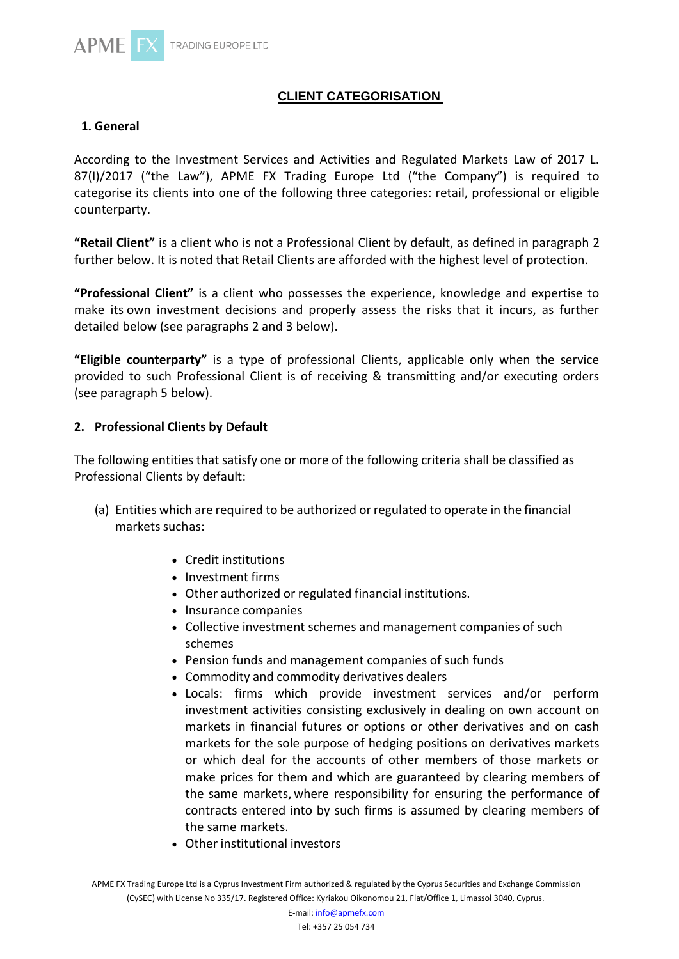

# **CLIENT CATEGORISATION**

#### **1. General**

According to the Investment Services and Activities and Regulated Markets Law of 2017 L. 87(I)/2017 ("the Law"), APME FX Trading Europe Ltd ("the Company") is required to categorise its clients into one of the following three categories: retail, professional or eligible counterparty.

**"Retail Client"** is a client who is not a Professional Client by default, as defined in paragraph 2 further below. It is noted that Retail Clients are afforded with the highest level of protection.

**"Professional Client"** is a client who possesses the experience, knowledge and expertise to make its own investment decisions and properly assess the risks that it incurs, as further detailed below (see paragraphs 2 and 3 below).

**"Eligible counterparty"** is a type of professional Clients, applicable only when the service provided to such Professional Client is of receiving & transmitting and/or executing orders (see paragraph 5 below).

#### **2. Professional Clients by Default**

The following entities that satisfy one or more of the following criteria shall be classified as Professional Clients by default:

- (a) Entities which are required to be authorized or regulated to operate in the financial markets suchas:
	- Credit institutions
	- Investment firms
	- Other authorized or regulated financial institutions.
	- Insurance companies
	- Collective investment schemes and management companies of such schemes
	- Pension funds and management companies of such funds
	- Commodity and commodity derivatives dealers
	- Locals: firms which provide investment services and/or perform investment activities consisting exclusively in dealing on own account on markets in financial futures or options or other derivatives and on cash markets for the sole purpose of hedging positions on derivatives markets or which deal for the accounts of other members of those markets or make prices for them and which are guaranteed by clearing members of the same markets, where responsibility for ensuring the performance of contracts entered into by such firms is assumed by clearing members of the same markets.
	- Other institutional investors

APME FX Trading Europe Ltd is a Cyprus Investment Firm authorized & regulated by the Cyprus Securities and Exchange Commission (CySEC) with License No 335/17. Registered Office: Kyriakou Oikonomou 21, Flat/Office 1, Limassol 3040, Cyprus.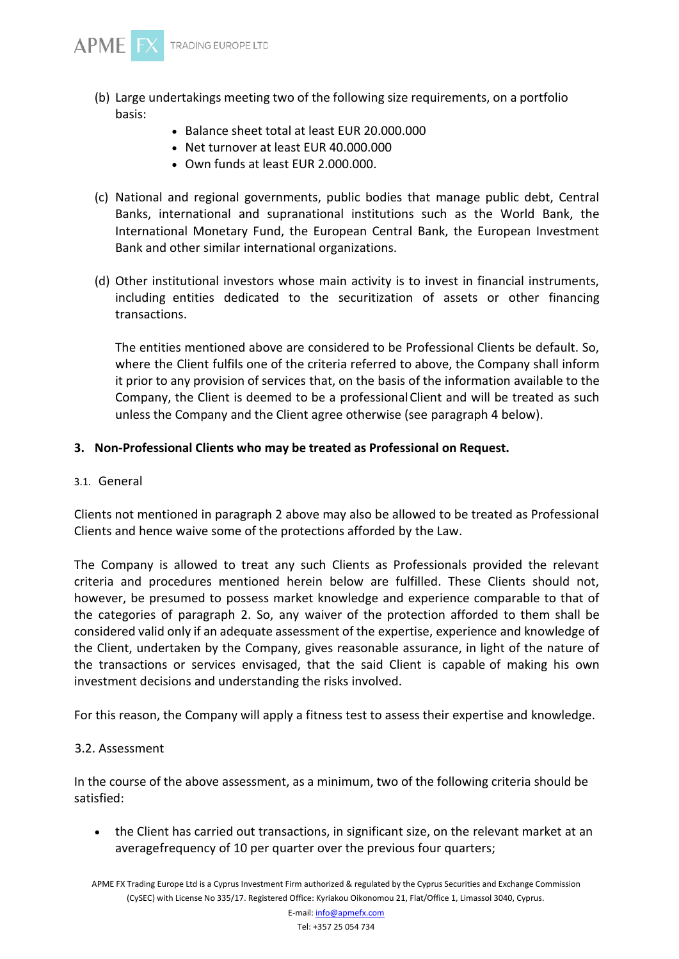

- (b) Large undertakings meeting two of the following size requirements, on a portfolio basis:
	- Balance sheet total at least EUR 20.000.000
	- Net turnover at least EUR 40.000.000
	- Own funds at least EUR 2.000.000.
- (c) National and regional governments, public bodies that manage public debt, Central Banks, international and supranational institutions such as the World Bank, the International Monetary Fund, the European Central Bank, the European Investment Bank and other similar international organizations.
- (d) Other institutional investors whose main activity is to invest in financial instruments, including entities dedicated to the securitization of assets or other financing transactions.

The entities mentioned above are considered to be Professional Clients be default. So, where the Client fulfils one of the criteria referred to above, the Company shall inform it prior to any provision of services that, on the basis of the information available to the Company, the Client is deemed to be a professionalClient and will be treated as such unless the Company and the Client agree otherwise (see paragraph 4 below).

#### **3. Non-Professional Clients who may be treated as Professional on Request.**

3.1. General

Clients not mentioned in paragraph 2 above may also be allowed to be treated as Professional Clients and hence waive some of the protections afforded by the Law.

The Company is allowed to treat any such Clients as Professionals provided the relevant criteria and procedures mentioned herein below are fulfilled. These Clients should not, however, be presumed to possess market knowledge and experience comparable to that of the categories of paragraph 2. So, any waiver of the protection afforded to them shall be considered valid only if an adequate assessment of the expertise, experience and knowledge of the Client, undertaken by the Company, gives reasonable assurance, in light of the nature of the transactions or services envisaged, that the said Client is capable of making his own investment decisions and understanding the risks involved.

For this reason, the Company will apply a fitness test to assess their expertise and knowledge.

#### 3.2. Assessment

In the course of the above assessment, as a minimum, two of the following criteria should be satisfied:

• the Client has carried out transactions, in significant size, on the relevant market at an averagefrequency of 10 per quarter over the previous four quarters;

APME FX Trading Europe Ltd is a Cyprus Investment Firm authorized & regulated by the Cyprus Securities and Exchange Commission (CySEC) with License No 335/17. Registered Office: Kyriakou Oikonomou 21, Flat/Office 1, Limassol 3040, Cyprus.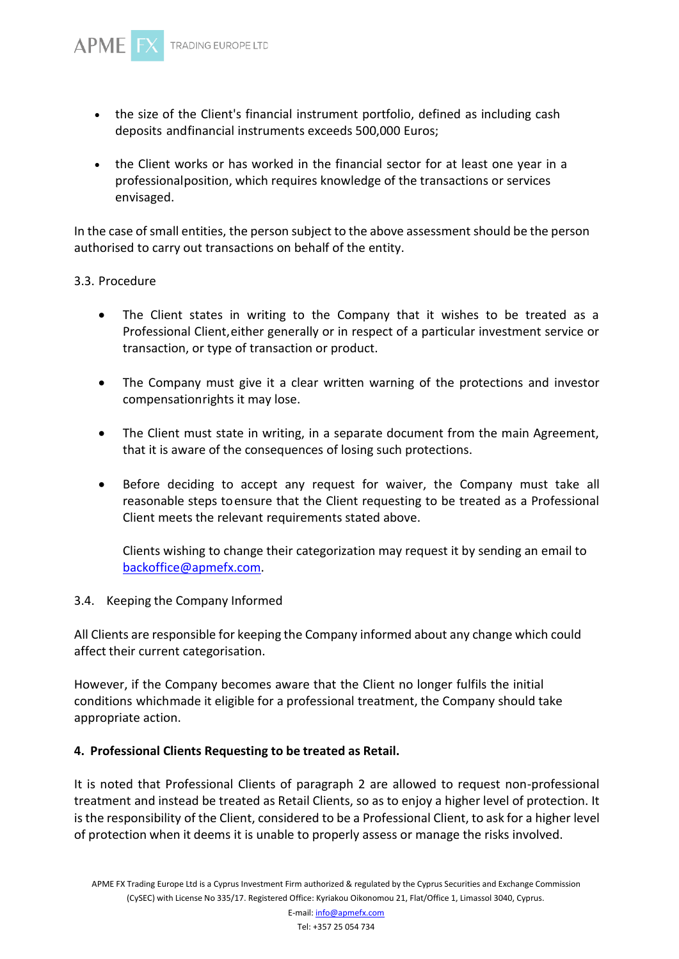- the size of the Client's financial instrument portfolio, defined as including cash deposits andfinancial instruments exceeds 500,000 Euros;
- the Client works or has worked in the financial sector for at least one year in a professionalposition, which requires knowledge of the transactions or services envisaged.

In the case of small entities, the person subject to the above assessment should be the person authorised to carry out transactions on behalf of the entity.

## 3.3. Procedure

- The Client states in writing to the Company that it wishes to be treated as a Professional Client,either generally or in respect of a particular investment service or transaction, or type of transaction or product.
- The Company must give it a clear written warning of the protections and investor compensationrights it may lose.
- The Client must state in writing, in a separate document from the main Agreement, that it is aware of the consequences of losing such protections.
- Before deciding to accept any request for waiver, the Company must take all reasonable steps toensure that the Client requesting to be treated as a Professional Client meets the relevant requirements stated above.

Clients wishing to change their categorization may request it by sending an email to [backoffice@apmefx.com.](mailto:backoffice@apmefx.com)

#### 3.4. Keeping the Company Informed

All Clients are responsible for keeping the Company informed about any change which could affect their current categorisation.

However, if the Company becomes aware that the Client no longer fulfils the initial conditions whichmade it eligible for a professional treatment, the Company should take appropriate action.

## **4. Professional Clients Requesting to be treated as Retail.**

It is noted that Professional Clients of paragraph 2 are allowed to request non-professional treatment and instead be treated as Retail Clients, so as to enjoy a higher level of protection. It is the responsibility of the Client, considered to be a Professional Client, to ask for a higher level of protection when it deems it is unable to properly assess or manage the risks involved.

E-mail[: info@apmefx.com](mailto:info@apmefx.com) Tel: +357 25 054 734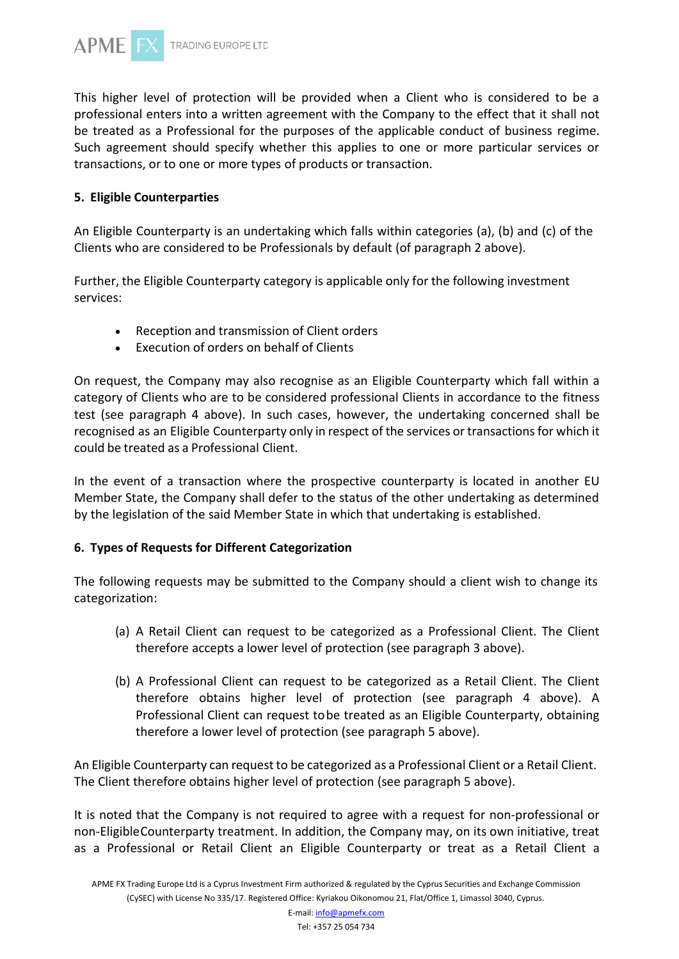

This higher level of protection will be provided when a Client who is considered to be a professional enters into a written agreement with the Company to the effect that it shall not be treated as a Professional for the purposes of the applicable conduct of business regime. Such agreement should specify whether this applies to one or more particular services or transactions, or to one or more types of products or transaction.

#### **5. Eligible Counterparties**

An Eligible Counterparty is an undertaking which falls within categories (a), (b) and (c) of the Clients who are considered to be Professionals by default (of paragraph 2 above).

Further, the Eligible Counterparty category is applicable only for the following investment services:

- Reception and transmission of Client orders
- Execution of orders on behalf of Clients

On request, the Company may also recognise as an Eligible Counterparty which fall within a category of Clients who are to be considered professional Clients in accordance to the fitness test (see paragraph 4 above). In such cases, however, the undertaking concerned shall be recognised as an Eligible Counterparty only in respect of the services or transactionsfor which it could be treated as a Professional Client.

In the event of a transaction where the prospective counterparty is located in another EU Member State, the Company shall defer to the status of the other undertaking as determined by the legislation of the said Member State in which that undertaking is established.

#### **6. Types of Requests for Different Categorization**

The following requests may be submitted to the Company should a client wish to change its categorization:

- (a) A Retail Client can request to be categorized as a Professional Client. The Client therefore accepts a lower level of protection (see paragraph 3 above).
- (b) A Professional Client can request to be categorized as a Retail Client. The Client therefore obtains higher level of protection (see paragraph 4 above). A Professional Client can request tobe treated as an Eligible Counterparty, obtaining therefore a lower level of protection (see paragraph 5 above).

An Eligible Counterparty can request to be categorized as a Professional Client or a Retail Client. The Client therefore obtains higher level of protection (see paragraph 5 above).

It is noted that the Company is not required to agree with a request for non-professional or non-EligibleCounterparty treatment. In addition, the Company may, on its own initiative, treat as a Professional or Retail Client an Eligible Counterparty or treat as a Retail Client a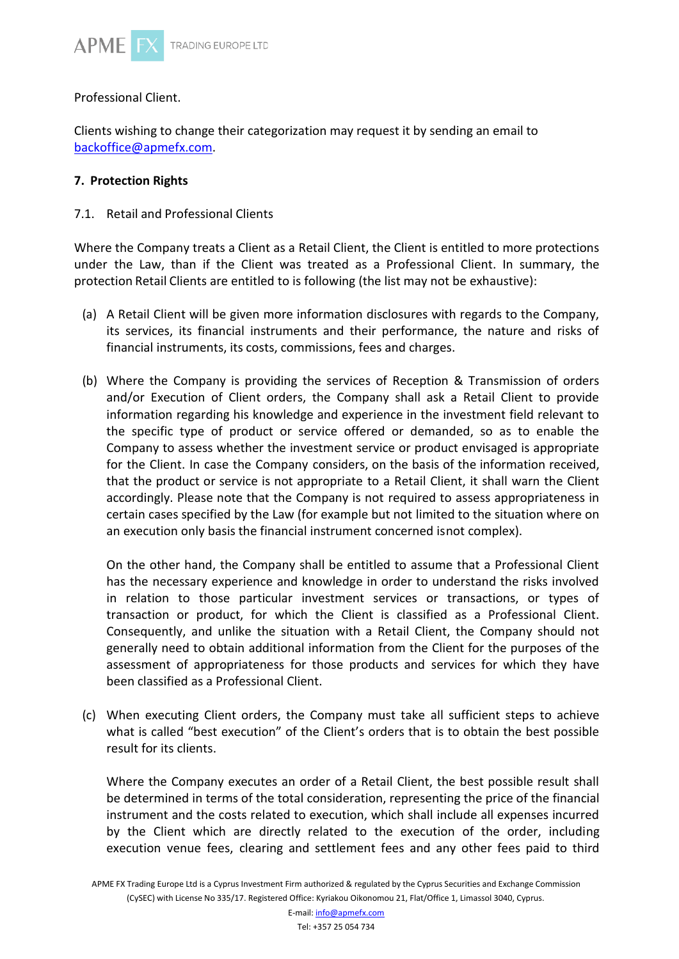

Professional Client.

Clients wishing to change their categorization may request it by sending an email to [backoffice@apmefx.com.](mailto:backoffice@ozios.com)

## **7. Protection Rights**

7.1. Retail and Professional Clients

Where the Company treats a Client as a Retail Client, the Client is entitled to more protections under the Law, than if the Client was treated as a Professional Client. In summary, the protection Retail Clients are entitled to is following (the list may not be exhaustive):

- (a) A Retail Client will be given more information disclosures with regards to the Company, its services, its financial instruments and their performance, the nature and risks of financial instruments, its costs, commissions, fees and charges.
- (b) Where the Company is providing the services of Reception & Transmission of orders and/or Execution of Client orders, the Company shall ask a Retail Client to provide information regarding his knowledge and experience in the investment field relevant to the specific type of product or service offered or demanded, so as to enable the Company to assess whether the investment service or product envisaged is appropriate for the Client. In case the Company considers, on the basis of the information received, that the product or service is not appropriate to a Retail Client, it shall warn the Client accordingly. Please note that the Company is not required to assess appropriateness in certain cases specified by the Law (for example but not limited to the situation where on an execution only basis the financial instrument concerned isnot complex).

On the other hand, the Company shall be entitled to assume that a Professional Client has the necessary experience and knowledge in order to understand the risks involved in relation to those particular investment services or transactions, or types of transaction or product, for which the Client is classified as a Professional Client. Consequently, and unlike the situation with a Retail Client, the Company should not generally need to obtain additional information from the Client for the purposes of the assessment of appropriateness for those products and services for which they have been classified as a Professional Client.

(c) When executing Client orders, the Company must take all sufficient steps to achieve what is called "best execution" of the Client's orders that is to obtain the best possible result for its clients.

Where the Company executes an order of a Retail Client, the best possible result shall be determined in terms of the total consideration, representing the price of the financial instrument and the costs related to execution, which shall include all expenses incurred by the Client which are directly related to the execution of the order, including execution venue fees, clearing and settlement fees and any other fees paid to third

APME FX Trading Europe Ltd is a Cyprus Investment Firm authorized & regulated by the Cyprus Securities and Exchange Commission (CySEC) with License No 335/17. Registered Office: Kyriakou Oikonomou 21, Flat/Office 1, Limassol 3040, Cyprus.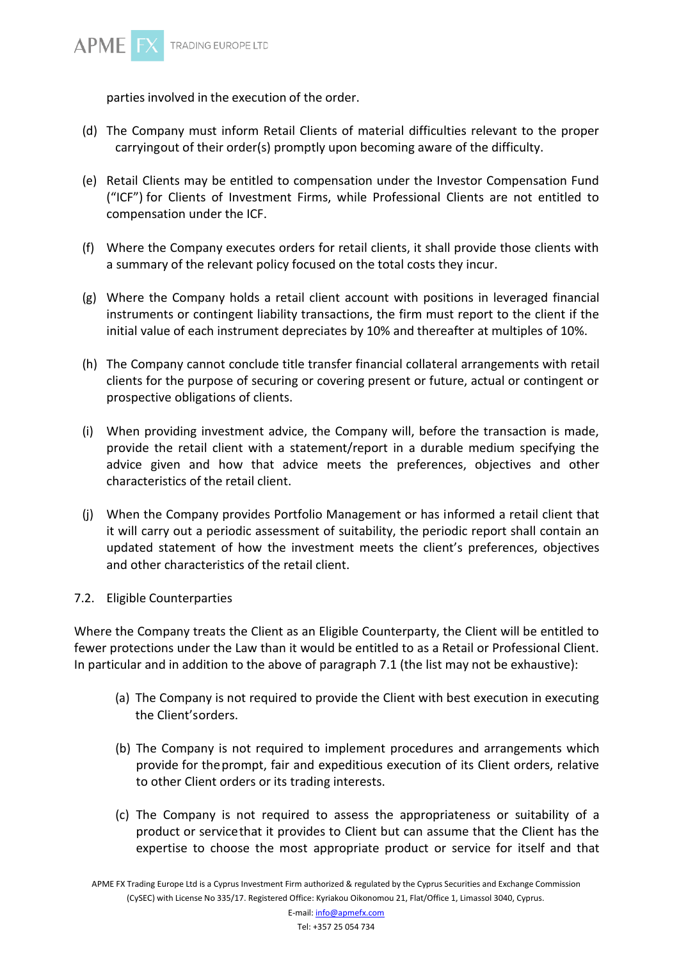

parties involved in the execution of the order.

- (d) The Company must inform Retail Clients of material difficulties relevant to the proper carryingout of their order(s) promptly upon becoming aware of the difficulty.
- (e) Retail Clients may be entitled to compensation under the Investor Compensation Fund ("ICF") for Clients of Investment Firms, while Professional Clients are not entitled to compensation under the ICF.
- (f) Where the Company executes orders for retail clients, it shall provide those clients with a summary of the relevant policy focused on the total costs they incur.
- (g) Where the Company holds a retail client account with positions in leveraged financial instruments or contingent liability transactions, the firm must report to the client if the initial value of each instrument depreciates by 10% and thereafter at multiples of 10%.
- (h) The Company cannot conclude title transfer financial collateral arrangements with retail clients for the purpose of securing or covering present or future, actual or contingent or prospective obligations of clients.
- (i) When providing investment advice, the Company will, before the transaction is made, provide the retail client with a statement/report in a durable medium specifying the advice given and how that advice meets the preferences, objectives and other characteristics of the retail client.
- (j) When the Company provides Portfolio Management or has informed a retail client that it will carry out a periodic assessment of suitability, the periodic report shall contain an updated statement of how the investment meets the client's preferences, objectives and other characteristics of the retail client.
- 7.2. Eligible Counterparties

Where the Company treats the Client as an Eligible Counterparty, the Client will be entitled to fewer protections under the Law than it would be entitled to as a Retail or Professional Client. In particular and in addition to the above of paragraph 7.1 (the list may not be exhaustive):

- (a) The Company is not required to provide the Client with best execution in executing the Client'sorders.
- (b) The Company is not required to implement procedures and arrangements which provide for theprompt, fair and expeditious execution of its Client orders, relative to other Client orders or its trading interests.
- (c) The Company is not required to assess the appropriateness or suitability of a product or servicethat it provides to Client but can assume that the Client has the expertise to choose the most appropriate product or service for itself and that

APME FX Trading Europe Ltd is a Cyprus Investment Firm authorized & regulated by the Cyprus Securities and Exchange Commission (CySEC) with License No 335/17. Registered Office: Kyriakou Oikonomou 21, Flat/Office 1, Limassol 3040, Cyprus.